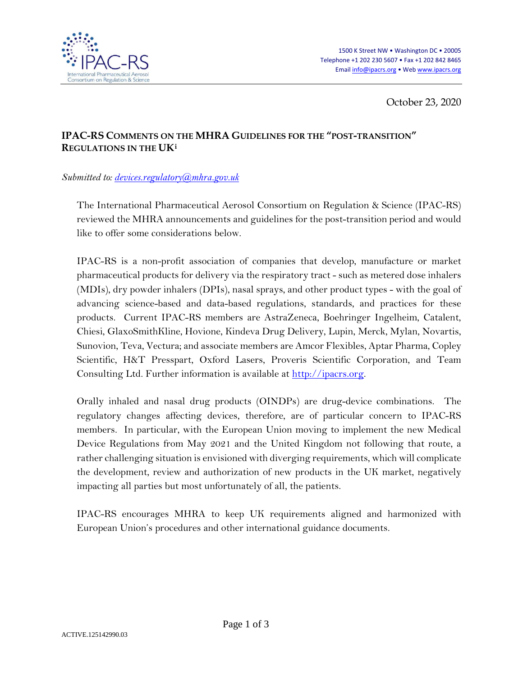

October 23, 2020

## **IPAC-RS COMMENTS ON THE MHRA GUIDELINES FOR THE "POST-TRANSITION" REGULATIONS IN THE UK[i](#page-2-0)**

## *Submitted to: [devices.regulatory@mhra.gov.uk](mailto:devices.regulatory@mhra.gov.uk)*

The International Pharmaceutical Aerosol Consortium on Regulation & Science (IPAC-RS) reviewed the MHRA announcements and guidelines for the post-transition period and would like to offer some considerations below.

IPAC-RS is a non-profit association of companies that develop, manufacture or market pharmaceutical products for delivery via the respiratory tract - such as metered dose inhalers (MDIs), dry powder inhalers (DPIs), nasal sprays, and other product types - with the goal of advancing science-based and data-based regulations, standards, and practices for these products. Current IPAC-RS members are AstraZeneca, Boehringer Ingelheim, Catalent, Chiesi, GlaxoSmithKline, Hovione, Kindeva Drug Delivery, Lupin, Merck, Mylan, Novartis, Sunovion, Teva, Vectura; and associate members are Amcor Flexibles, Aptar Pharma, Copley Scientific, H&T Presspart, Oxford Lasers, Proveris Scientific Corporation, and Team Consulting Ltd. Further information is available at [http://ipacrs.org.](http://ipacrs.org/)

Orally inhaled and nasal drug products (OINDPs) are drug-device combinations. The regulatory changes affecting devices, therefore, are of particular concern to IPAC-RS members. In particular, with the European Union moving to implement the new Medical Device Regulations from May 2021 and the United Kingdom not following that route, a rather challenging situation is envisioned with diverging requirements, which will complicate the development, review and authorization of new products in the UK market, negatively impacting all parties but most unfortunately of all, the patients.

IPAC-RS encourages MHRA to keep UK requirements aligned and harmonized with European Union's procedures and other international guidance documents.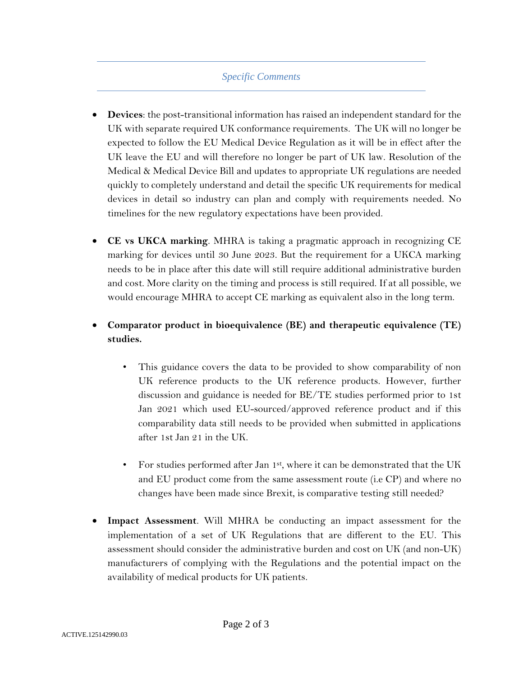## *Specific Comments*

- **Devices**: the post-transitional information has raised an independent standard for the UK with separate required UK conformance requirements. The UK will no longer be expected to follow the EU Medical Device Regulation as it will be in effect after the UK leave the EU and will therefore no longer be part of UK law. Resolution of the Medical & Medical Device Bill and updates to appropriate UK regulations are needed quickly to completely understand and detail the specific UK requirements for medical devices in detail so industry can plan and comply with requirements needed. No timelines for the new regulatory expectations have been provided.
- **CE vs UKCA marking**. MHRA is taking a pragmatic approach in recognizing CE marking for devices until 30 June 2023. But the requirement for a UKCA marking needs to be in place after this date will still require additional administrative burden and cost. More clarity on the timing and process is still required. If at all possible, we would encourage MHRA to accept CE marking as equivalent also in the long term.
- **Comparator product in bioequivalence (BE) and therapeutic equivalence (TE) studies.**
	- This guidance covers the data to be provided to show comparability of non UK reference products to the UK reference products. However, further discussion and guidance is needed for BE/TE studies performed prior to 1st Jan 2021 which used EU-sourced/approved reference product and if this comparability data still needs to be provided when submitted in applications after 1st Jan 21 in the UK.
	- For studies performed after Jan 1st, where it can be demonstrated that the UK and EU product come from the same assessment route (i.e CP) and where no changes have been made since Brexit, is comparative testing still needed?
- **Impact Assessment**. Will MHRA be conducting an impact assessment for the implementation of a set of UK Regulations that are different to the EU. This assessment should consider the administrative burden and cost on UK (and non-UK) manufacturers of complying with the Regulations and the potential impact on the availability of medical products for UK patients.